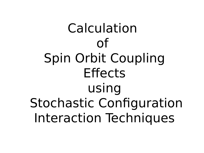Calculation of Spin Orbit Coupling **Effects** using Stochastic Configuration Interaction Techniques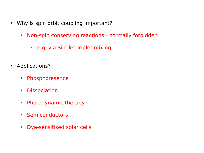- Why is spin orbit coupling important?
	- Non-spin conserving reactions normally forbidden
		- e.g. via Singlet-Triplet mixing
- Applications?
	- Phosphoresence
	- Dissociation
	- Photodynamic therapy
	- Semiconductors
	- Dye-sensitised solar cells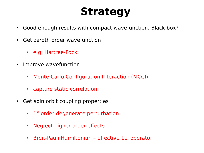# **Strategy**

- Good enough results with compact wavefunction. Black box?
- Get zeroth order wavefunction
	- e.g. Hartree-Fock
- Improve wavefunction
	- Monte Carlo Configuration Interaction (MCCI)
	- capture static correlation
- Get spin orbit coupling properties
	- $\cdot$  1<sup>st</sup> order degenerate perturbation
	- Neglect higher order effects
	- Breit-Pauli Hamiltonian effective 1e operator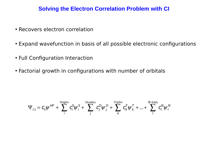#### **Solving the Electron Correlation Problem with CI**

- Recovers electron correlation
- Expand wavefunction in basis of all possible electronic configurations
- Full Configuration Interaction
- Factorial growth in configurations with number of orbitals

$$
\Psi_{\text{CI}} = C_0 \psi^{HF} + \sum_i^{\text{Singles}} C_i^S \psi_i^S + \sum_j^{\text{Doubles}} C_j^D \psi_j^D + \sum_k^{\text{Triples}} C_k^T \psi_k^T + ... + \sum_j^{N\text{-folds}} C_j^N \psi_j^N
$$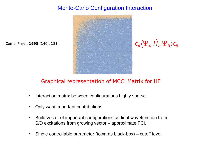# Monte-Carlo Configuration Interaction



$$
\textit{C}_{A}\big\langle \Psi_{A}\big|\hat{H}_{e}\big|\Psi_{B}\big\rangle\textit{C}_{B}
$$

#### Graphical representation of MCCI Matrix for HF

- Interaction matrix between configurations highly sparse.
- Only want important contributions.

J. Comp. Phys., **1998** (146), 181.

- Build vector of important configurations as final wavefunction from S/D excitations from growing vector – approximate FCI.
- Single controllable parameter (towards black-box) cutoff level.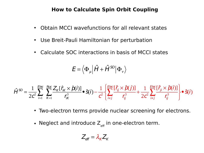#### **How to Calculate Spin Orbit Coupling**

- Obtain MCCI wavefunctions for all relevant states
- Use Breit-Pauli Hamiltonian for perturbation
- Calculate SOC interactions in basis of MCCI states

$$
\boldsymbol{E} = \left\langle \boldsymbol{\Phi}_{\mu} \right| \boldsymbol{\hat{H}} + \boldsymbol{\hat{H}}^{\text{SO}} \left| \boldsymbol{\Phi}_{\nu} \right\rangle
$$

$$
\hat{H}^{SO} = \frac{1}{2c^2} \sum_{i=1}^{Elcc} \sum_{K=1}^{Nuc} \frac{Z_K[\hat{r}_{ik} \times \hat{p}(i)]}{r_{ik}^3} \bullet \hat{s}(i) - \frac{1}{c^2} \left\{ \sum_{i \neq j}^{Elcc} \frac{[\hat{r}_{ij} \times \hat{p}(j)]}{r_{ij}^3} + \frac{1}{2c^2} \sum_{i \neq j}^{Elcc} \frac{[\hat{r}_{ji} \times \hat{p}(i)]}{r_{ij}^3} \right\} \bullet \hat{s}(i)
$$

- Two-electron terms provide nuclear screening for electrons.
- Neglect and introduce  $Z_{\text{eff}}$  in one-electron term.

$$
Z_{\text{eff}} = \lambda_K Z_K
$$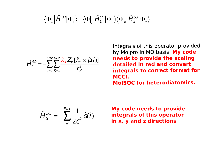$$
\langle \Phi_{\mu} | \hat{H}^{SO} | \Phi_{\nu} \rangle = \langle \Phi |_{\mu} \hat{H}_{L}^{SO} | \Phi_{\nu} \rangle \langle \Phi_{\mu} | \hat{H}_{S}^{SO} | \Phi_{\nu} \rangle
$$

$$
\hat{H}_{L}^{SO} = -\sum_{i=1}^{Elec} \sum_{K=1}^{Nuc} \frac{\lambda_{K} Z_{K}[\hat{r}_{iK} \times \hat{p}(i)]}{r_{iK}^{3}}
$$

Integrals of this operator provided by Molpro in MO basis. My code needs to provide the scaling detailed in red and convert integrals to correct format for MCCI. **MoISOC for heterodiatomics.** 

$$
\hat{H}_S^{\text{SO}} = -\sum_{i=1}^{E l \text{ec}} \frac{1}{2c^2} \hat{S}(i)
$$

**My code needs to provide integrals of this operator in x, y and z directions**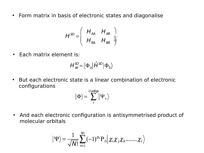• Form matrix in basis of electronic states and diagonalise

$$
H^{SO} = \left(\begin{array}{cc} H_{AA} & H_{AB} \\ H_{BA} & H_{BB} \end{array}\right)
$$

• Each matrix element is:

$$
H_{ab}^{SO} = \langle \Phi_a | \hat{H}^{SO} | \Phi_b \rangle
$$

• But each electronic state is a linear combination of electronic configurations

$$
\big|\Phi\big>=\sum_{\nu}^{\text{Configs}}\big|\Psi_{\nu}\big>
$$

• And each electronic configuration is antisymmetrised product of molecular orbitals

$$
|\Psi\rangle = \frac{1}{\sqrt{N!}} \sum_{n=1}^{N!} (-1)^{p_n} P_n \bigg| \chi_i \chi_j \chi_k \dots \dots \chi_l \bigg\rangle
$$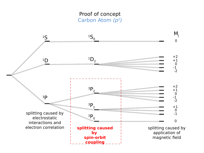# Proof of concept Carbon Atom (p<sup>2</sup>)

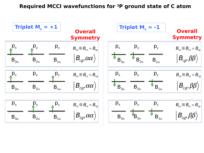#### **Required MCCI wavefunctions for 3P ground state of C atom**

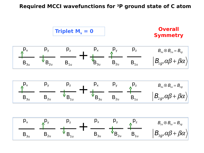#### **Required MCCI wavefunctions for 3P ground state of C atom**

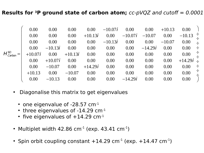#### **Results for 3P ground state of carbon atom;** cc-pVQZ and cutoff = 0.0001

|                                                    | 0.00      | 0.00      | 0.00      | 0.00      | $-10.07i$ | 0.00      | 0.00      | $+10.13$ | 0.00               |
|----------------------------------------------------|-----------|-----------|-----------|-----------|-----------|-----------|-----------|----------|--------------------|
|                                                    | 0.00      | 0.00      | 0.00      | $+10.13i$ | 0.00      | $-10.07i$ | $-10.07$  | 0.00     | $\div$<br>$-10.13$ |
|                                                    | 0.00      | 0.00      | 0.00      | 0.00      | $-10.13i$ | 0.00      | 0.00      | $-10.07$ | 0.00<br>$\div$     |
|                                                    | 0.00      | $-10.13i$ | 0.00      | $0.00\,$  | 0.00      | 0.00      | $-14.29i$ | 0.00     | 0.00<br>$\div$     |
| H <sup>SO</sup><br>H <sub>Carbon</sub><br>$\equiv$ | $+10.07i$ | 0.00      | $+10.13i$ | 0.00      | 0.00      | 0.00      | 0.00      | 0.00     | $\div$<br>0.00     |
|                                                    | 0.00      | $+10.07i$ | 0.00      | 0.00      | 0.00      | 0.00      | 0.00      | 0.00     | $+14.29i$ $\div$   |
|                                                    | 0.00      | $-10.07$  | 0.00      | $+14.29i$ | 0.00      | 0.00      | 0.00      | 0.00     | $\div$<br>0.00     |
|                                                    | $+10.13$  | 0.00      | $-10.07$  | 0.00      | 0.00      | 0.00      | 0.00      | 0.00     | $\div$<br>0.00     |
|                                                    | 0.00      | $-10.13$  | 0.00      | 0.00      | 0.00      | $-14.29i$ | 0.00      | 0.00     | 0.00               |

- Diagonalise this matrix to get eigenvalues
	- one eigenvalue of  $-28.57$  cm $^{-1}$
	- $\cdot$  three eigenvalues of -14.29 cm $^{-1}$
	- five eigenvalues of  $+14.29$  cm<sup>-1</sup>
- Multiplet width 42.86 cm<sup>-1</sup> (exp. 43.41 cm<sup>-1</sup>)
- Spin orbit coupling constant  $+14.29$  cm<sup>-1</sup> (exp.  $+14.47$  cm<sup>-1</sup>)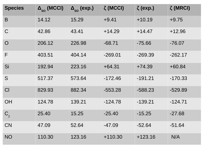| <b>Species</b>   | $\Delta_{\rm SO}$ (MCCI) | $\Delta_{\rm SO}$ (exp.) | $\zeta$ (MCCI) | $\zeta$ (exp.) | $\zeta$ (MRCI) |
|------------------|--------------------------|--------------------------|----------------|----------------|----------------|
| B                | 14.12                    | 15.29                    | $+9.41$        | $+10.19$       | $+9.75$        |
| $\mathsf{C}$     | 42.86                    | 43.41                    | $+14.29$       | $+14.47$       | $+12.96$       |
| $\overline{O}$   | 206.12                   | 226.98                   | $-68.71$       | $-75.66$       | $-76.07$       |
| F                | 403.51                   | 404.14                   | $-269.01$      | $-269.39$      | $-262.17$      |
| Si               | 192.94                   | 223.16                   | $+64.31$       | $+74.39$       | $+60.84$       |
| S                | 517.37                   | 573.64                   | $-172.46$      | $-191.21$      | $-170.33$      |
| CI               | 829.93                   | 882.34                   | $-553.28$      | $-588.23$      | $-529.89$      |
| <b>OH</b>        | 124.78                   | 139.21                   | $-124.78$      | $-139.21$      | $-124.71$      |
| $\mathsf{C}_{2}$ | 25.40                    | 15.25                    | $-25.40$       | $-15.25$       | $-27.68$       |
| <b>CN</b>        | 47.09                    | 52.64                    | $-47.09$       | $-52.64$       | $-51.64$       |
| <b>NO</b>        | 110.30                   | 123.16                   | $+110.30$      | $+123.16$      | N/A            |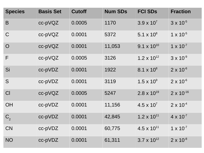| <b>Species</b> | <b>Basis Set</b> | <b>Cutoff</b> | <b>Num SDs</b> | <b>FCI SDS</b>       | <b>Fraction</b>     |
|----------------|------------------|---------------|----------------|----------------------|---------------------|
| B              | cc-pVQZ          | 0.0005        | 1170           | $3.9 \times 10^{7}$  | $3 \times 10^{-5}$  |
| $\mathsf{C}$   | cc-pVQZ          | 0.0001        | 5372           | $5.1 \times 10^{8}$  | $1 \times 10^{-5}$  |
| $\overline{O}$ | cc-pVQZ          | 0.0001        | 11,053         | $9.1 \times 10^{10}$ | $1 \times 10^{-7}$  |
| F              | cc-pVQZ          | 0.0005        | 3126           | $1.2 \times 10^{12}$ | $3 \times 10^{-9}$  |
| Si             | cc-pVDZ          | 0.0001        | 1922           | $8.1 \times 10^{8}$  | $2 \times 10^{-6}$  |
| S              | cc-pVDZ          | 0.0001        | 3119           | $1.5 \times 10^{9}$  | $2 \times 10^{-6}$  |
| Cl             | cc-pVQZ          | 0.0005        | 5247           | $2.8 \times 10^{19}$ | $2 \times 10^{-16}$ |
| <b>OH</b>      | cc-pVDZ          | 0.0001        | 11,156         | $4.5 \times 10^{7}$  | $2 \times 10^{-4}$  |
| $C_{2}$        | cc-pVDZ          | 0.0001        | 42,845         | $1.2 \times 10^{11}$ | $4 \times 10^{-7}$  |
| <b>CN</b>      | cc-pVDZ          | 0.0001        | 60,775         | $4.5 \times 10^{11}$ | $1 \times 10^{-7}$  |
| <b>NO</b>      | cc-pVDZ          | 0.0001        | 61,311         | $3.7 \times 10^{12}$ | $2 \times 10^{-8}$  |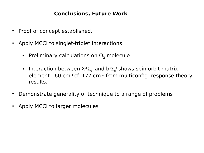### **Conclusions, Future Work**

- Proof of concept established.
- Apply MCCI to singlet-triplet interactions
	- Preliminary calculations on  $O<sub>2</sub>$  molecule.
	- Interaction between  $X^3\Sigma_g^-$  and  $b^1\Sigma_g^+$ shows spin orbit matrix element  $160 \text{ cm}^{-1}$  cf. 177 cm<sup>-1</sup> from multiconfig. response theory results.
- Demonstrate generality of technique to a range of problems
- Apply MCCI to larger molecules